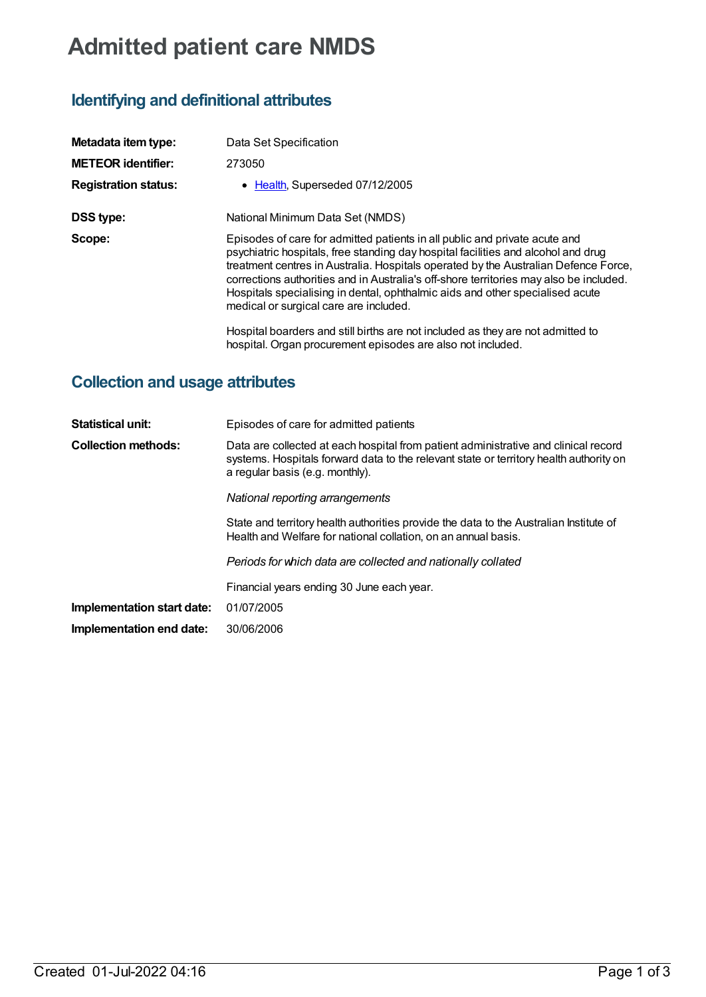# **Admitted patient care NMDS**

# **Identifying and definitional attributes**

| Metadata item type:         | Data Set Specification                                                                                                                                                                                                                                                                                                                                                                                                                                                      |
|-----------------------------|-----------------------------------------------------------------------------------------------------------------------------------------------------------------------------------------------------------------------------------------------------------------------------------------------------------------------------------------------------------------------------------------------------------------------------------------------------------------------------|
| <b>METEOR identifier:</b>   | 273050                                                                                                                                                                                                                                                                                                                                                                                                                                                                      |
| <b>Registration status:</b> | • Health, Superseded 07/12/2005                                                                                                                                                                                                                                                                                                                                                                                                                                             |
| <b>DSS type:</b>            | National Minimum Data Set (NMDS)                                                                                                                                                                                                                                                                                                                                                                                                                                            |
| Scope:                      | Episodes of care for admitted patients in all public and private acute and<br>psychiatric hospitals, free standing day hospital facilities and alcohol and drug<br>treatment centres in Australia. Hospitals operated by the Australian Defence Force,<br>corrections authorities and in Australia's off-shore territories may also be included.<br>Hospitals specialising in dental, ophthalmic aids and other specialised acute<br>medical or surgical care are included. |
|                             | Hospital boarders and still births are not included as they are not admitted to<br>hospital. Organ procurement episodes are also not included.                                                                                                                                                                                                                                                                                                                              |

# **Collection and usage attributes**

| <b>Statistical unit:</b>   | Episodes of care for admitted patients                                                                                                                                                                           |
|----------------------------|------------------------------------------------------------------------------------------------------------------------------------------------------------------------------------------------------------------|
| <b>Collection methods:</b> | Data are collected at each hospital from patient administrative and clinical record<br>systems. Hospitals forward data to the relevant state or territory health authority on<br>a regular basis (e.g. monthly). |
|                            | National reporting arrangements                                                                                                                                                                                  |
|                            | State and territory health authorities provide the data to the Australian Institute of<br>Health and Welfare for national collation, on an annual basis.                                                         |
|                            | Periods for which data are collected and nationally collated                                                                                                                                                     |
|                            | Financial years ending 30 June each year.                                                                                                                                                                        |
| Implementation start date: | 01/07/2005                                                                                                                                                                                                       |
| Implementation end date:   | 30/06/2006                                                                                                                                                                                                       |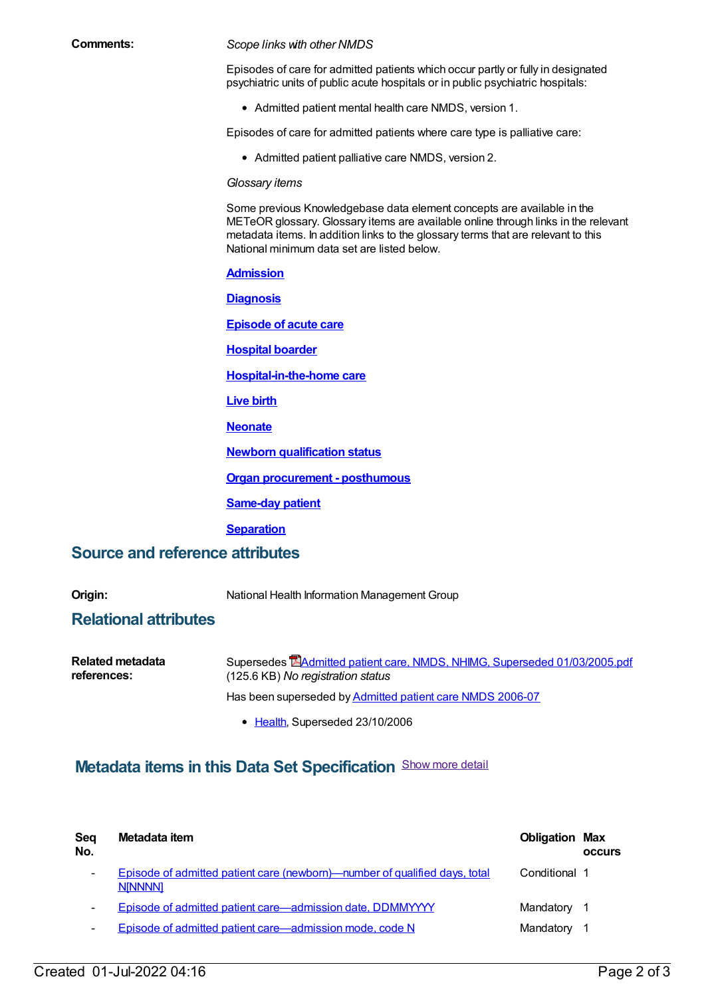#### **Comments:** *Scope links with other NMDS*

Episodes of care for admitted patients which occur partly or fully in designated psychiatric units of public acute hospitals or in public psychiatric hospitals:

Admitted patient mental health care NMDS, version 1.

Episodes of care for admitted patients where care type is palliative care:

Admitted patient palliative care NMDS, version 2.

#### *Glossary items*

Some previous Knowledgebase data element concepts are available in the METeOR glossary. Glossary items are available online through links in the relevant metadata items. In addition links to the glossary terms that are relevant to this National minimum data set are listed below.

#### **[Admission](https://meteor.aihw.gov.au/content/327206)**

**[Diagnosis](https://meteor.aihw.gov.au/content/327224)**

**[Episode](https://meteor.aihw.gov.au/content/327230) of acute care**

**[Hospital](https://meteor.aihw.gov.au/content/327242) boarder**

**[Hospital-in-the-home](https://meteor.aihw.gov.au/content/327308) care**

**[Live](https://meteor.aihw.gov.au/content/327248) birth**

**[Neonate](https://meteor.aihw.gov.au/content/327284)**

**Newborn [qualification](https://meteor.aihw.gov.au/content/327254) status**

**Organ [procurement](https://meteor.aihw.gov.au/content/327258) - posthumous**

**[Same-day](https://meteor.aihw.gov.au/content/327270) patient**

**[Separation](https://meteor.aihw.gov.au/content/327268)**

### **Source and reference attributes**

**Origin:** National Health Information Management Group

### **Relational attributes**

| Related metadata | Supersedes <b>EAdmitted patient care, NMDS, NHIMG, Superseded 01/03/2005.pdf</b> |
|------------------|----------------------------------------------------------------------------------|
| references:      | (125.6 KB) No registration status                                                |
|                  | Has been superseded by Admitted patient care NMDS 2006-07                        |

• [Health](https://meteor.aihw.gov.au/RegistrationAuthority/12), Superseded 23/10/2006

## **Metadata items in this Data Set Specification** Show more detail

| Seq<br>No.               | Metadata item                                                                                | <b>Obligation Max</b> | <b>OCCUIS</b> |
|--------------------------|----------------------------------------------------------------------------------------------|-----------------------|---------------|
| $\overline{\phantom{a}}$ | Episode of admitted patient care (newborn)—number of qualified days, total<br><b>NINNNN1</b> | Conditional 1         |               |
| $\overline{\phantom{a}}$ | Episode of admitted patient care—admission date, DDMMYYYY                                    | Mandatory 1           |               |
| $\overline{\phantom{a}}$ | Episode of admitted patient care-admission mode, code N                                      | Mandatory             |               |